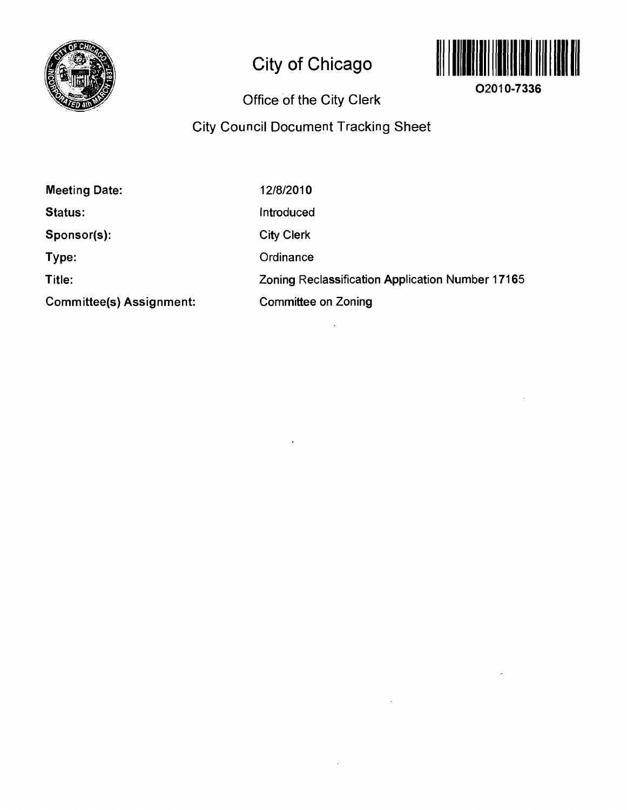

# **City of Chicago**



**02010-7336** 

## **Office of the City Clerk**

## **City Council Document Tracking Sheet**

| <b>Meeting Date:</b>     | 12/8/2010                                        |
|--------------------------|--------------------------------------------------|
| Status:                  | Introduced                                       |
| Sponsor(s):              | <b>City Clerk</b>                                |
| Type:                    | Ordinance                                        |
| Title:                   | Zoning Reclassification Application Number 17165 |
| Committee(s) Assignment: | <b>Committee on Zoning</b>                       |

 $\bar{1}$ 

 $\bar{z}$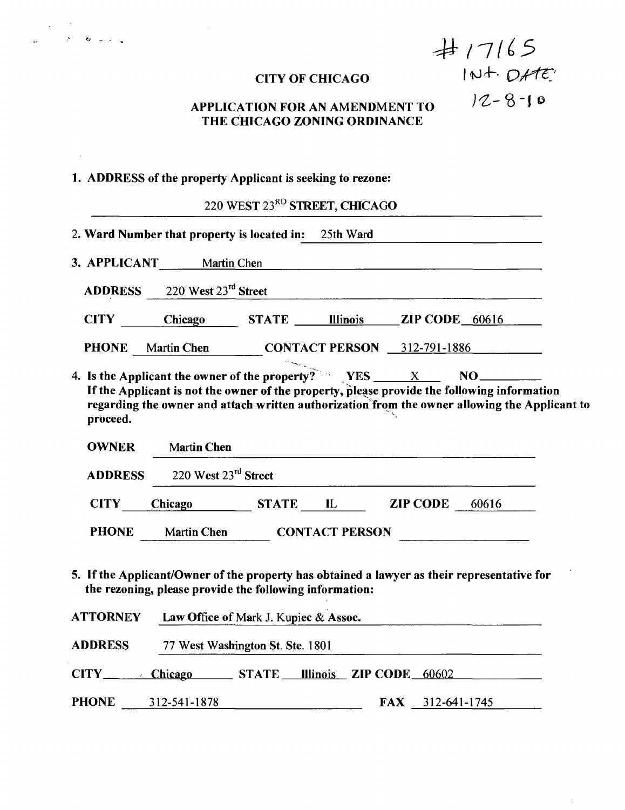|  | <b>CITY OF CHICAGO</b> |  |
|--|------------------------|--|
|  |                        |  |

 $#17165$  $INL + DH E$ 

 $12 - 8 - 10$ 

 $\hat{\boldsymbol{\beta}}$ 

## **APPLICATION FOR AN AMENDMENT TO THE CHICAGO ZONING ORDINANCE**

## **1. ADDRESS of the property Applicant is seeking to rezone:**

 $\sim 10$ 

|                 |                                                                                                                                                                                                                                                                   | 220 WEST 23 <sup>RD</sup> STREET, CHICAGO |                               |       |  |
|-----------------|-------------------------------------------------------------------------------------------------------------------------------------------------------------------------------------------------------------------------------------------------------------------|-------------------------------------------|-------------------------------|-------|--|
|                 |                                                                                                                                                                                                                                                                   |                                           |                               |       |  |
|                 | 2. Ward Number that property is located in:                                                                                                                                                                                                                       |                                           | 25th Ward                     |       |  |
|                 | 3. APPLICANT Martin Chen                                                                                                                                                                                                                                          |                                           |                               |       |  |
| <b>ADDRESS</b>  | 220 West 23rd Street                                                                                                                                                                                                                                              |                                           |                               |       |  |
| <b>CITY</b>     | Chicago                                                                                                                                                                                                                                                           |                                           | STATE Illinois ZIP CODE 60616 |       |  |
| <b>PHONE</b>    | Martin Chen CONTACT PERSON 312-791-1886                                                                                                                                                                                                                           |                                           |                               |       |  |
| proceed.        | 4. Is the Applicant the owner of the property? $YES$ $X$ $X$ $NQ$<br>If the Applicant is not the owner of the property, please provide the following information<br>regarding the owner and attach written authorization from the owner allowing the Applicant to |                                           |                               |       |  |
| <b>OWNER</b>    | <b>Martin Chen</b>                                                                                                                                                                                                                                                |                                           |                               |       |  |
| <b>ADDRESS</b>  | 220 West 23rd Street                                                                                                                                                                                                                                              |                                           |                               |       |  |
| <b>CITY</b>     | Chicago STATE IL ZIP CODE                                                                                                                                                                                                                                         |                                           |                               | 60616 |  |
| <b>PHONE</b>    | <b>Martin Chen</b>                                                                                                                                                                                                                                                |                                           | <b>CONTACT PERSON</b>         |       |  |
|                 | 5. If the Applicant/Owner of the property has obtained a lawyer as their representative for<br>the rezoning, please provide the following information:                                                                                                            |                                           |                               |       |  |
| <b>ATTORNEY</b> | Law Office of Mark J. Kupiec & Assoc.                                                                                                                                                                                                                             |                                           |                               |       |  |
| <b>ADDRESS</b>  | 77 West Washington St. Ste. 1801                                                                                                                                                                                                                                  |                                           |                               |       |  |
| CITY Chicago    |                                                                                                                                                                                                                                                                   | STATE                                     | Illinois ZIP CODE 60602       |       |  |

PHONE 312-541-1878 FAX 312-641-1745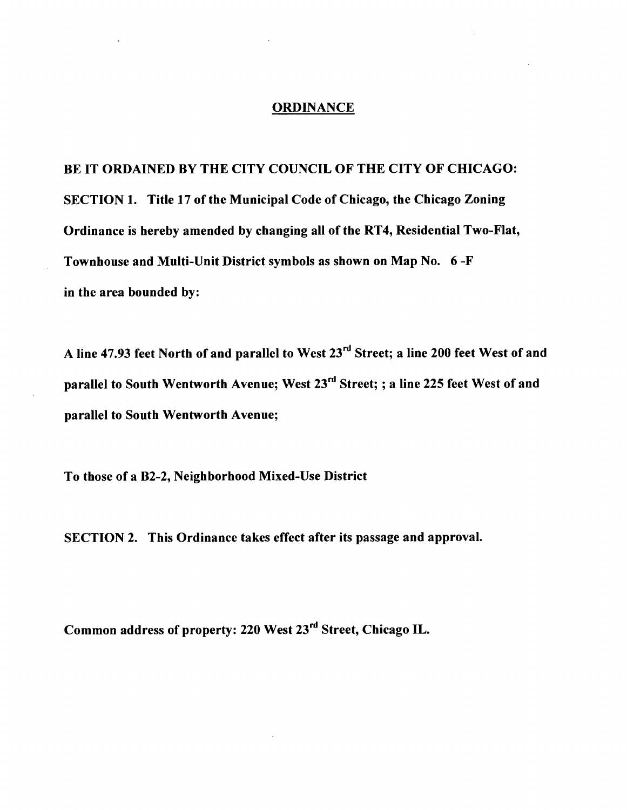## **ORDINANCE**

**BE IT ORDAINED BY THE CITY COUNCIL OF THE CITY OF CHICAGO: SECTION 1. Title 17 of the Municipal Code of Chicago, the Chicago Zoning Ordinance is hereby amended by changing all of the RT4, Residential Two-Flat, Townhouse and Multi-Unit District symbols as shown on Map No. 6 -F in the area bounded by:** 

**A line 47.93 feet North of and parallel to West 23"' Street; a line 200 feet West of and parallel to South Wentworth Avenue; West 23<sup>rd</sup> Street; ; a line 225 feet West of and parallel to South Wentworth Avenue;** 

**To those of a B2-2, Neighborhood Mixed-Use District** 

**SECTION 2. This Ordinance takes effect after its passage and approval.** 

**Common address of property: 220 West 23'^'' Street, Chicago IL.**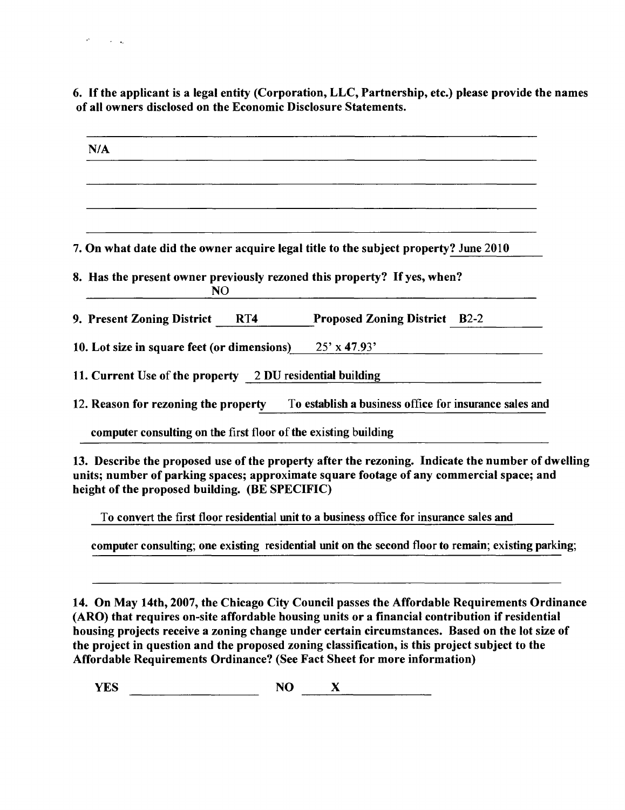**6. If the applicant is a legal entity (Corporation, LLC, Partnership, etc.) please provide the names of all owners disclosed on the Economic Disclosure Statements.** 

| N/A                                                             |                                                                                             |
|-----------------------------------------------------------------|---------------------------------------------------------------------------------------------|
|                                                                 |                                                                                             |
|                                                                 |                                                                                             |
|                                                                 |                                                                                             |
|                                                                 | 7. On what date did the owner acquire legal title to the subject property? June 2010        |
| N <sub>O</sub>                                                  | 8. Has the present owner previously rezoned this property? If yes, when?                    |
|                                                                 | 9. Present Zoning District RT4 Proposed Zoning District B2-2                                |
| 10. Lot size in square feet (or dimensions) $25' \times 47.93'$ |                                                                                             |
| 11. Current Use of the property 2 DU residential building       |                                                                                             |
|                                                                 | 12. Reason for rezoning the property To establish a business office for insurance sales and |
|                                                                 |                                                                                             |

To convert the first floor residential unit to a business office for insurance sales and

computer consulting; one existing residential unit on the second floor to remain; existing parking;

**14. On May 14th, 2007, the Chicago City Council passes the Affordable Requirements Ordinance (ARO) that requires on-site affordable housing units or a financial contribution if residential housing projects receive a zoning change under certain circumstances. Based on the lot size of the project in question and the proposed zoning classification, is this project subject to the Affordable Requirements Ordinance? (See Fact Sheet for more information)** 

 $YES$   $NO$   $X$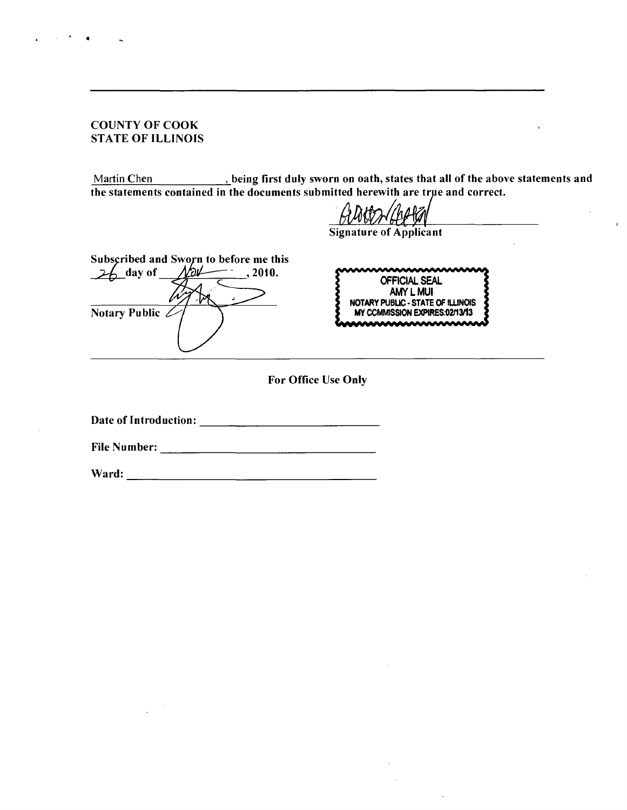## **COUNTY OF COOK STATE OF ILLINOIS**

Martin Chen *niet of the sworn on oath, states that all of the above statements and* $\blacksquare$ **, being first duly sworn on oath, states that all of the above statements and the statements contained in the documents submitted herewith are true and correct** 

**Signature of Applicant** 

Subscribed and Sworn to before me this<br>
26 day of May 1010.  $26$  day of **Notary Public** 

OFFICIAL SEAL AMY L MUI NOTARY PUBLIC - STATE OF ILLINOIS MY CCMMISSION EXPIRES:02/13/13

 $\mathbf{r}$ 

**For Office Use Only** 

**Date of Introduction:** 

**File Number:** 

**Ward:**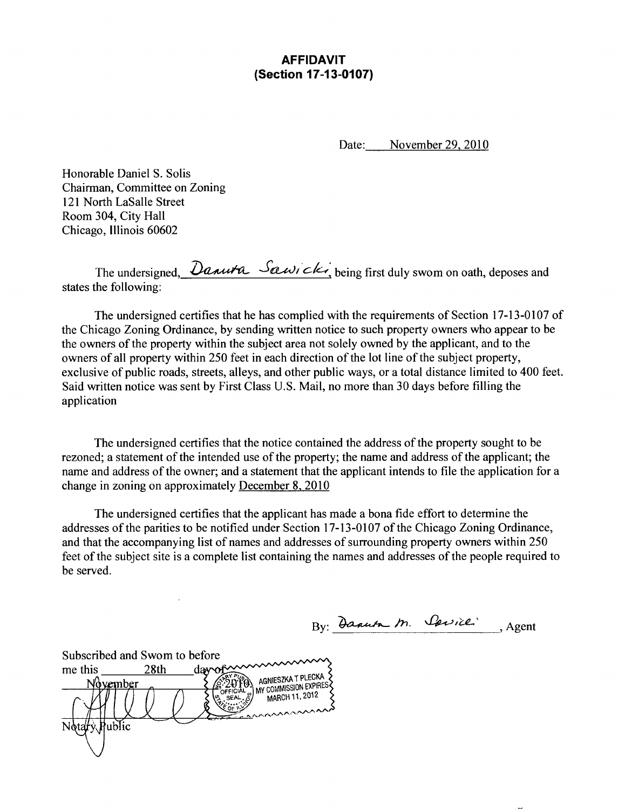## **AFFIDAVIT (Section 17-13-0107)**

Date: November 29, 2010

Honorable Daniel S. Solis Chairman, Committee on Zoning 121 North LaSalle Street Room 304, City Hall Chicago, Illinois 60602

The undersigned,  $\partial$ anuta Sawick, being first duly swom on oath, deposes and states the following:

The undersigned certifies that he has complied with the requirements of Section 17-13-0107 of the Chicago Zoning Ordinance, by sending written notice to such property owners who appear to be the owners of the property within the subject area not solely owned by the applicant, and to the owners of all property within 250 feet in each direction of the lot line of the subject property, exclusive of public roads, streets, alleys, and other public ways, or a total distance limited to 400 feet. Said written notice was sent by First Class U.S. Mail, no more than 30 days before filling the application

The undersigned certifies that the notice contained the address of the property sought to be rezoned; a statement of the intended use of the property; the name and address of the applicant; the name and address of the owner; and a statement that the applicant intends to file the application for a change in zoning on approximately December 8, 2010

The undersigned certifies that the applicant has made a bona fide effort to determine the addresses of the parities to be notified under Section 17-13-0107 of the Chicago Zoning Ordinance, and that the accompanying list of names and addresses of surrounding property owners within 250 feet of the subject site is a complete list containing the names and addresses of the people required to be served.

By: Dannta M. Carrier, Agent

Subscribed and Swom to before me this  $28th$  day of **EXALGAT AGNIESZKA T PLECKA**<br>2010 MY COMMISSION EXPIRES November MARCH 11, 2012 ublic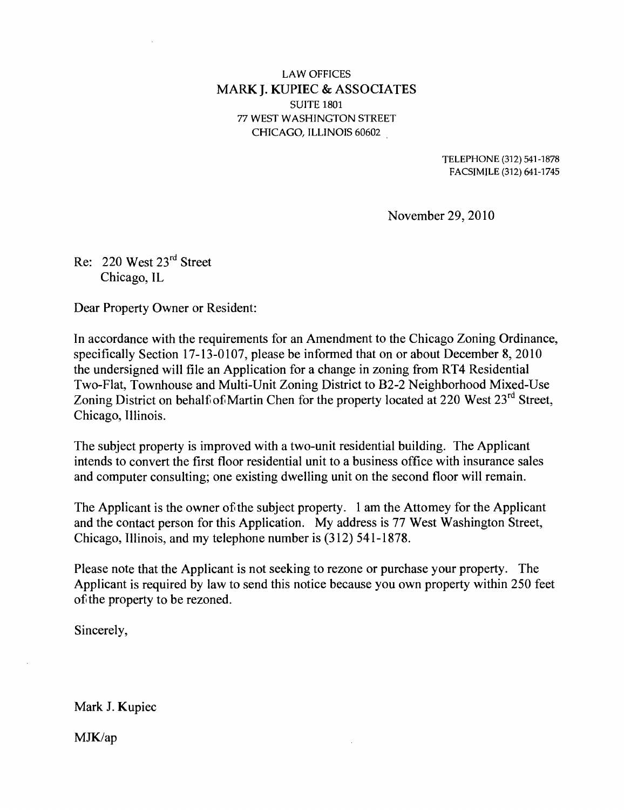## **LAW OFFICES MARK J. KUPIEC & ASSOCIATES**  SUITE 1801 77 WEST WASHINGTON STREET CHICAGO, ILLINOIS 60602

TELEPHONE (312) 541-1878 FACSIMILE (312) 641-1745

November 29, 2010

Re: 220 West  $23<sup>rd</sup>$  Street Chicago, IL

Dear Property Owner or Resident:

In accordance with the requirements for an Amendment to the Chicago Zoning Ordinance, specifically Section 17-13-0107, please be informed that on or about December 8, 2010 the undersigned will file an Application for a change in zoning from RT4 Residential Two-Flat, Townhouse and Multi-Unit Zoning District to B2-2 Neighborhood Mixed-Use Zoning District on behalf of Martin Chen for the property located at 220 West  $23^{\text{rd}}$  Street, Chicago, Illinois.

The subject property is improved with a two-unit residential building. The Applicant intends to convert the first floor residential unit to a business office with insurance sales and computer consulting; one existing dwelling unit on the second floor will remain.

The Applicant is the owner of the subject property. 1 am the Attomey for the Applicant and the contact person for this Application. My address is 77 West Washington Street, Chicago, Illinois, and my telephone number is (312) 541-1878.

Please note that the Applicant is not seeking to rezone or purchase your property. The Applicant is required by law to send this notice because you own property within 250 feet of the property to be rezoned.

Sincerely,

Mark J. Kupiec

MJK/ap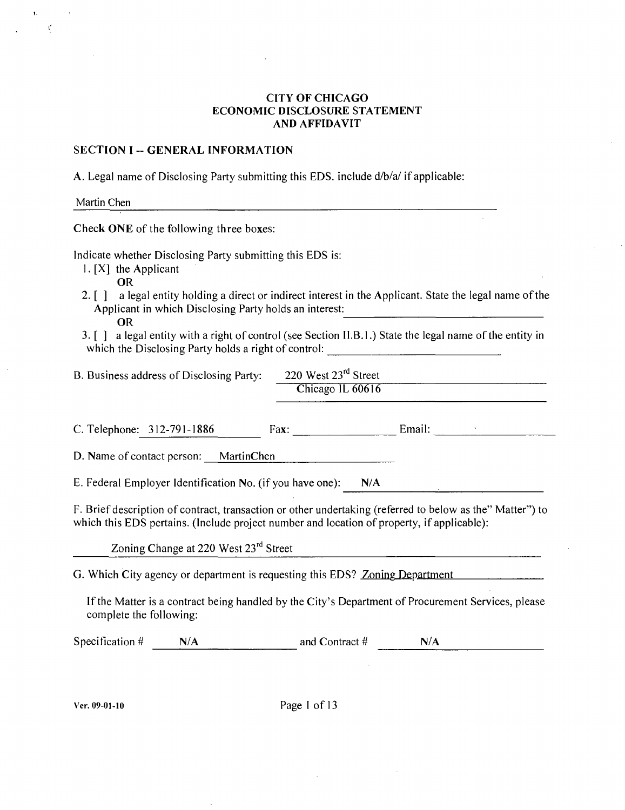#### **CITY OF CHICAGO ECONOMIC DISCLOSURE STATEMENT AND AFFIDAVIT**

#### **SECTION I -- GENERAL INFORMATION**

A. Legal name of Disclosing Party submitting this EDS. include d/b/a/ if applicable:

Martin Chen

 $\mathfrak{t}'$ 

**Check ONE of the following three boxes:** 

Indicate whether Disclosing Party submitting this EDS is:

- 1. [X] the Applicant
	- OR
- 2. [ ] a legal entity holding a direct or indirect interest in the Applicant. State the legal name of the Applicant in which Disclosing Party holds an interest: OR
- 3. [ ] a legal entity with a right of control (see Section II.B. 1.) State the legal name of the entity in which the Disclosing Party holds a right of control: \_\_\_\_\_\_\_\_\_\_\_\_\_\_\_\_\_\_\_\_\_\_\_\_\_\_\_

| B. Business address of Disclosing Party: | 220 West $23^{\text{rd}}$ Street |  |
|------------------------------------------|----------------------------------|--|
|                                          | Chicago IL 60616                 |  |

C. Telephone: 312-791-1886 Fax: Email: Email:

D. Name of contact person: MartinChen

E. Federal Employer Identification No. (if you have one): N/A

F. Brief description of contract, transaction or other undertaking (referred to below as the" Matter") to which this EDS pertains. (Include project number and location of property, if applicable):

Zoning Change at 220 West 23<sup>rd</sup> Street

G. Which City agency or department is requesting this EDS? Zoning Department

If the Matter is a contract being handled by the City's Department of Procurement Services, please complete the following:

Specification  $\#$  N/A and Contract  $\#$  N/A

Ver. 09-01-10 Page I of 13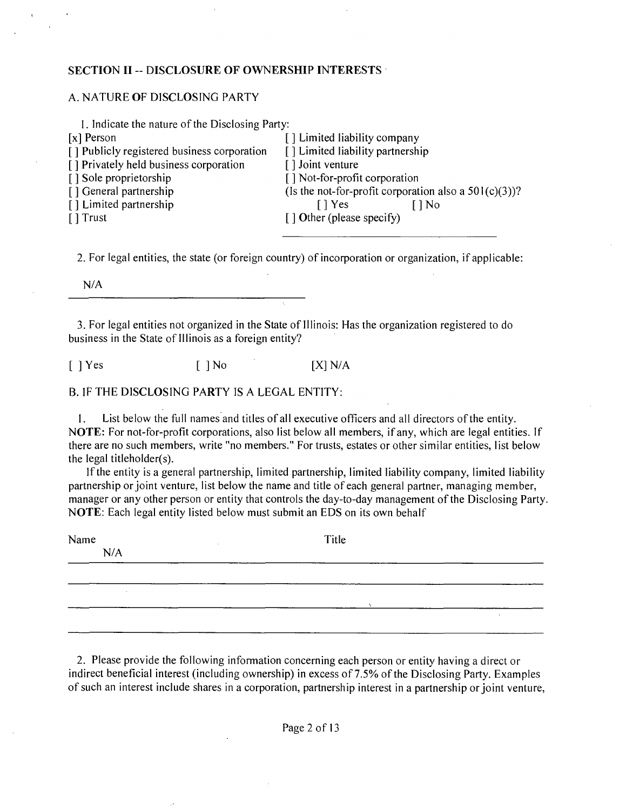#### **SECTION II - DISCLOSURE OF OWNERSHIP INTERESTS**

#### A. NATURE OF DISCLOSING PARTY

| I. Indicate the nature of the Disclosing Party: |                                                          |
|-------------------------------------------------|----------------------------------------------------------|
| $[x]$ Person                                    | [] Limited liability company                             |
| [] Publicly registered business corporation     | [] Limited liability partnership                         |
| [] Privately held business corporation          | [] Joint venture                                         |
| [] Sole proprietorship                          | [] Not-for-profit corporation                            |
| [] General partnership                          | (Is the not-for-profit corporation also a $501(c)(3)$ )? |
| [] Limited partnership                          | $\lceil \cdot \rceil$ Yes<br>[ ] No                      |
| $\lceil$ Trust                                  | $\lceil$ 1 Other (please specify)                        |
|                                                 |                                                          |
|                                                 |                                                          |

2. For legal entities, the state (or foreign country) of incorporation or organization, if applicable:

N/A

3. For legal entities not organized in the State of Illinois: Has the organization registered to do business in the State of Illinois as a foreign entity?

 $[$  | Yes  $[$  | No  $[$   $[X]$  N/A

#### B. IF THE DISCLOSING PARTY IS A LEGAL ENTITY:

I. List below the full names and titles of all executive officers and all directors of the entity. NOTE: For not-for-profit corporations, also list below all members, if any, which are legal entities. If there are no such members, write "no members." For trusts, estates or other similar entities, list below the legal titleholder(s).

If the entity is a general partnership, limited partnership, limited liability company, limited liability partnership or joint venture, list below the name and title of each general partner, managing member, manager or any other person or entity that controls the day-to-day management of the Disclosing Party. NOTE: Each legal entity listed below must submit an EDS on its own behalf

| Title |  |  |  |
|-------|--|--|--|
|       |  |  |  |
|       |  |  |  |
|       |  |  |  |
|       |  |  |  |
|       |  |  |  |
|       |  |  |  |

2. Please provide the following information concerning each person or entity having a direct or indirect beneficial interest (including ownership) in excess of 7.5% of the Disclosing Party. Examples of such an interest include shares in a corporation, partnership interest in a partnership or joint venture,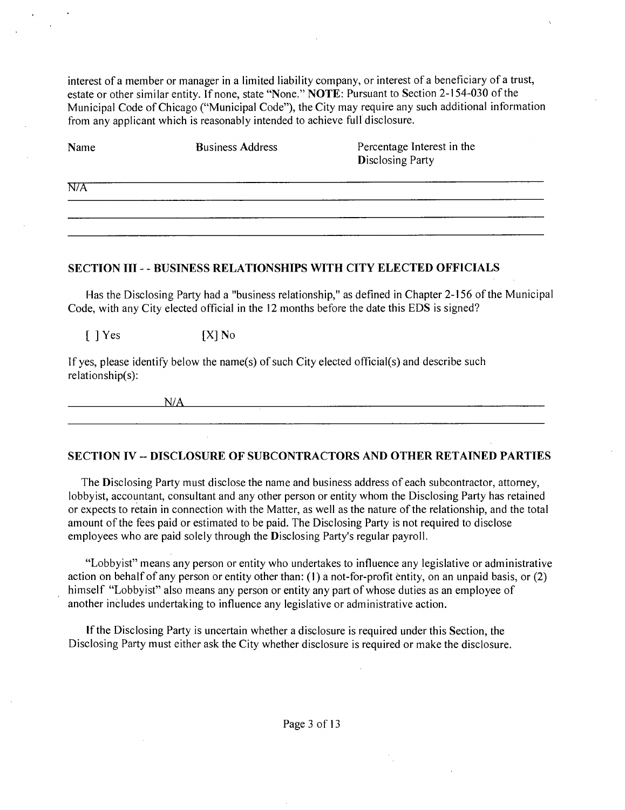interest of a member or manager in a limited liability company, or interest of a beneficiary of a trust, estate or other similar entity. If none, state "None." NOTE: Pursuant to Section 2-154-030 of the Municipal Code of Chicago ("Municipal Code"), the City may require any such additional information from any applicant which is reasonably intended to achieve full disclosure.

| Name | <b>Business Address</b> | Percentage Interest in the<br><b>Disclosing Party</b> |
|------|-------------------------|-------------------------------------------------------|
| N/A  |                         |                                                       |
|      |                         |                                                       |

### **SECTION III - - BUSINESS RELATIONSHIPS WITH CITY ELECTED OFFICIALS**

Has the Disclosing Party had a "business relationship," as defined in Chapter 2-156 of the Municipal Code, with any City elected official in the 12 months before the date this EDS is signed?

 $[$  ] Yes  $[$   $[$   $X]$  No

If yes, please identify below the name(s) of such City elected official(s) and describe such relationship(s):

N/A

#### **SECTION IV - DISCLOSURE OF SUBCONTRACTORS AND OTHER RETAINED PARTIES**

The Disclosing Party must disclose the name and business address of each subcontractor, attorney, lobbyist, accountant, consultant and any other person or entity whom the Disclosing Party has retained or expects to retain in connection with the Matter, as well as the nature of the relationship, and the total amount of the fees paid or estimated to be paid. The Disclosing Party is not required to disclose employees who are paid solely through the Disclosing Party's regular payroll.

"Lobbyist" means any person or entity who undertakes to influence any legislative or administrative action on behalf of any person or entity other than: (1) a not-for-profit entity, on an unpaid basis, or (2) himself "Lobbyist" also means any person or entity any part of whose duties as an employee of another includes undertaking to influence any legislative or administrative action.

Ifthe Disclosing Party is uncertain whether a disclosure is required under this Section, the Disclosing Party must either ask the City whether disclosure is required or make the disclosure.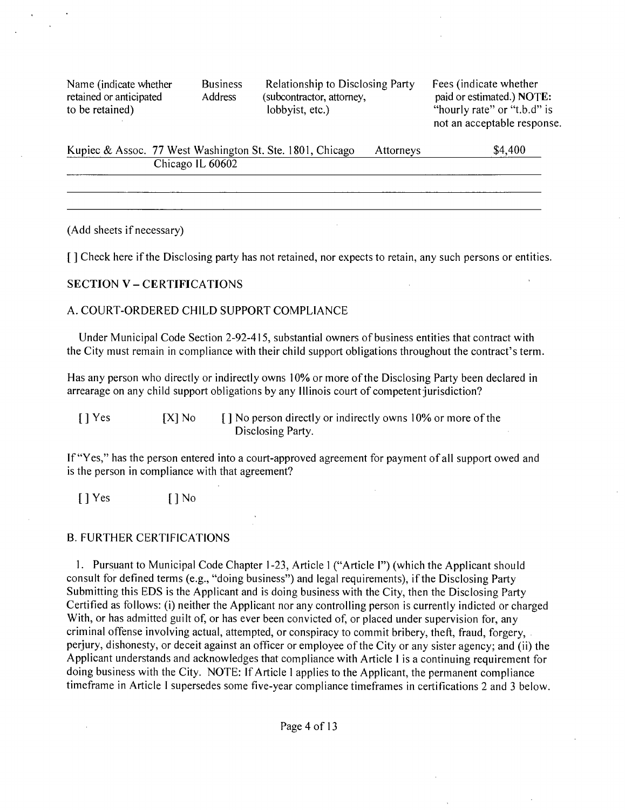Name (indicate whether **Business** Relationship to Disclosing Party Fees (indicate whether retained or anticipated Address (subcontractor, attorney, paid or estimated.) NOT **retained or anticipated** Address (subcontractor, attorney, paid or estimated.) **NOTE:**<br> **retained hourly rate** or "t.b.d" is

"hourly rate" or "t.b.d" is not an acceptable response.

| Kupiec & Assoc. 77 West Washington St. Ste. 1801, Chicago | <b>Attorneys</b> | \$4,400 |
|-----------------------------------------------------------|------------------|---------|
| Chicago IL 60602                                          |                  |         |
|                                                           |                  |         |

(Add sheets if necessary)

**[ ] Check here if the Disclosing party has not retained, nor expects to retain, any such persons or entities.** 

#### **SECTION V - CERTIFICATIONS**

#### A. COURT-ORDERED CHILD SUPPORT COMPLIANCE

Under Municipal Code Section 2-92-415, substantial owners of business entities that contract with the City must remain in compliance with their child support obligations throughout the contract's term.

Has any person who directly or indirectly owns 10% or more of the Disclosing Party been declared in arrearage on any child support obligations by any Illinois court of competent jurisdiction?

[ ] Yes [X] No [ ] No person directly or indirectly owns 10% or more of the Disclosing Party.

If "Yes," has the person entered into a court-approved agreement for payment of all support owed and is the person in compliance with that agreement?

 $[$  | Yes  $[$  | No

#### B. FURTHER CERTIFICATIONS

1. Pursuant to Municipal Code Chapter 1 -23, Article 1 ("Article I") (which the Applicant should consult for defined terms (e.g., "doing business") and legal requirements), if the Disclosing Party Submitting this EDS is the Applicant and is doing business with the City, then the Disclosing Party Certified as follows: (i) neither the Applicant nor any controlling person is currently indicted or charged With, or has admitted guilt of, or has ever been convicted of, or placed under supervision for, any criminal offense involving actual, attempted, or conspiracy to commit bribery, theft, fraud, forgery, perjury, dishonesty, or deceit against an officer or employee of the City or any sister agency; and (ii) the Applicant understands and acknowledges that compliance with Article I is a continuing requirement for doing business with the City. NOTE: If Article 1 applies to the Applicant, the permanent compliance timeframe in Article I supersedes some five-year compliance timeframes in certifications 2 and 3 below.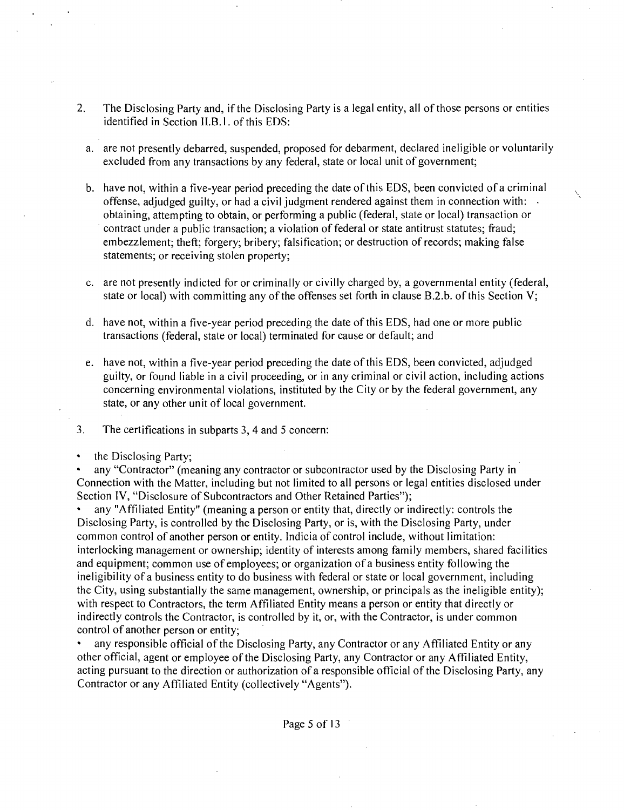- 2. The Disclosing Party and, if the Disclosing Party is a legal entity, all of those persons or entities identified in Section II.B.l. of this EDS:
	- a. are not presently debarred, suspended, proposed for debarment, declared ineligible or voluntarily excluded from any transactions by any federal, state or local unit of government;
	- b. have not, within a five-year period preceding the date of this EDS, been convicted of a criminal offense, adjudged guilty, or had a civil judgment rendered against them in connection with: obtaining, attempting to obtain, or performing a public (federal, state or local) transaction or contract under a public transaction; a violation of federal or state antitrust statutes; fraud; embezzlement; theft; forgery; bribery; falsification; or destruction of records; making false statements; or receiving stolen property;
	- c. are not presently indicted for or criminally or civilly charged by, a governmental entity (federal, state or local) with committing any of the offenses set forth in clause B.2.b. of this Section V;
	- d. have not, within a five-year period preceding the date of this EDS, had one or more public transactions (federal, state or local) terminated for cause or default; and
	- e. have not, within a five-year period preceding the date of this EDS, been convicted, adjudged guilty, or found liable in a civil proceeding, or in any criminal or civil action, including actions concerning environmental violations, instituted by the City or by the federal government, any state, or any other unit of local government.
- 3. The certifications in subparts 3, 4 and 5 concern:
- the Disclosing Party;

any "Contractor" (meaning any contractor or subcontractor used by the Disclosing Party in Connection with the Matter, including but not limited to all persons or legal entities disclosed under Section IV, "Disclosure of Subcontractors and Other Retained Parties");

• any "Affiliated Entity" (meaning a person or entity that, directly or indirectly: controls the Disclosing Party, is controlled by the Disclosing Party, or is, with the Disclosing Party, under common control of another person or entity. Indicia of control include, without limitation: interlocking management or ownership; identity of interests among family members, shared facilities and equipment; common use of employees; or organization of a business entity following the ineligibility of a business entity to do business with federal or state or local government, including the City, using substantially the same management, ownership, or principals as the ineligible entity); with respect to Contractors, the term Affiliated Entity means a person or entity that directly or indirectly controls the Contractor, is controlled by it, or, with the Contractor, is under common control of another person or entity;

• any responsible official of the Disclosing Party, any Contractor or any Affiliated Entity or any other official, agent or employee of the Disclosing Party, any Contractor or any Affiliated Entity, acting pursuant to the direction or authorization of a responsible official of the Disclosing Party, any Contractor or any Affiliated Entity (collectively "Agents").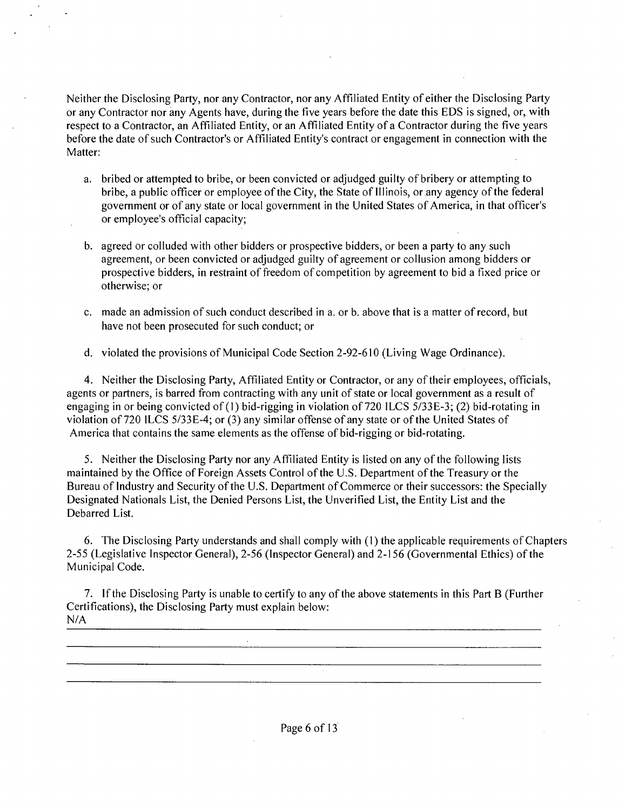Neither the Disclosing Party, nor any Contractor, nor any Affiliated Entity of either the Disclosing Party or any Contractor nor any Agents have, during the five years before the date this EDS is signed, or, with respect to a Contractor, an Affiliated Entity, or an Affiliated Entity of a Contractor during the five years before the date of such Contractor's or Affiliated Entity's contract or engagement in connection with the Matter:

- a. bribed or attempted to bribe, or been convicted or adjudged guilty of bribery or attempting to bribe, a public officer or employee of the City, the State of Illinois, or any agency of the federal government or of any state or local government in the United States of America, in that officer's or employee's official capacity;
- b. agreed or colluded with other bidders or prospective bidders, or been a party to any such agreement, or been convicted or adjudged guilty of agreement or collusion among bidders or prospective bidders, in restraint of freedom of competition by agreement to bid a fixed price or otherwise; or
- c. made an admission of such conduct described in a. or b. above that is a matter of record, but have not been prosecuted for such conduct; or
- d. violated the provisions of Municipal Code Section 2-92-610 (Living Wage Ordinance).

4. Neither the Disclosing Party, Affiliated Entity or Contractor, or any of their employees, officials, agents or partners, is barred from contracting with any unit of state or local government as a result of engaging in or being convicted of (1) bid-rigging in violation of 720 ILCS 5/33E-3; (2) bid-rotating in violation of 720 ILCS 5/33E-4; or (3) any similar offense of any state or of the United States of America that contains the same elements as the offense of bid-rigging or bid-rotating.

5. Neither the Disclosing Party nor any Affiliated Entity is listed on any of the following lists maintained by the Office of Foreign Assets Control of the U.S. Department of the Treasury or the Bureau of Industry and Security of the U.S. Department of Commerce or their successors: the Specially Designated Nationals List, the Denied Persons List, the Unverified List, the Entity List and the Debarred List.

6. The Disclosing Party understands and shall comply with (1) the applicable requirements of Chapters 2-55 (Legislative Inspector General), 2-56 (Inspector General) and 2-156 (Governmental Ethics) of the Municipal Code.

7. Ifthe Disclosing Party is unable to certify to any of the above statements in this Part B (Further Certifications), the Disclosing Party must explain below: N/A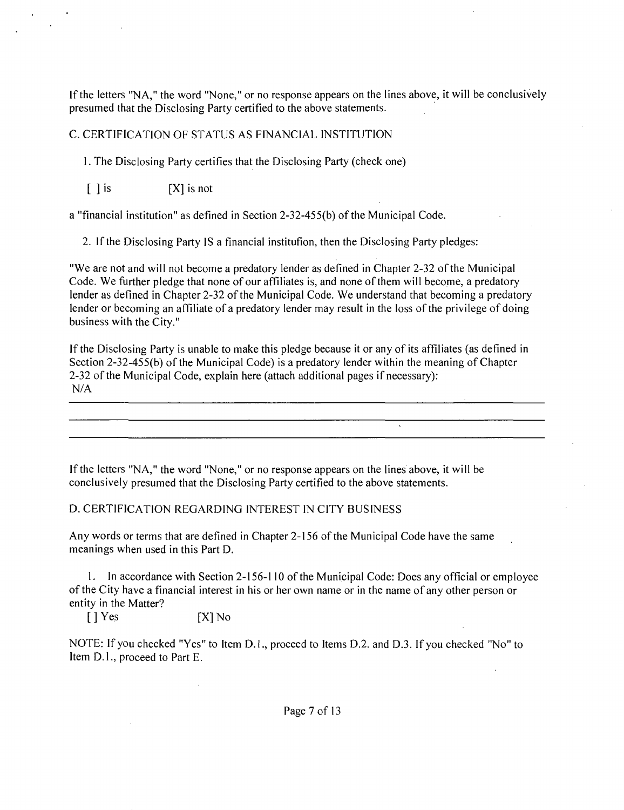If the letters "NA," the word "None," or no response appears on the lines above, it will be conclusively presumed that the Disclosing Party certified to the above statements.

## C. CERTIFICATION OF STATUS AS FINANCIAL INSTITUTION

1. The Disclosing Party certifies that the Disclosing Party (check one)

 $[ ]$  is  $[ X ]$  is not

a "financial institution" as defined in Section 2-32-455(b) of the Municipal Code.

2. If the Disclosing Party IS a financial institution, then the Disclosing Party pledges:

"We are not and will not become a predatory lender as defined in Chapter 2-32 of the Municipal Code. We further pledge that none of our affiliates is, and none of them will become, a predatory lender as defined in Chapter 2-32 of the Municipal Code. We understand that becoming a predatory lender or becoming an affiliate of a predatory lender may result in the loss of the privilege of doing business with the City."

If the Disclosing Party is unable to make this pledge because it or any of its affiliates (as defined in Section 2-32-455(b) of the Municipal Code) is a predatory lender within the meaning of Chapter 2-32 of the Municipal Code, explain here (attach additional pages if necessary): N/A

If the letters "NA," the word "None," or no response appears on the lines above, it will be conclusively presumed that the Disclosing Party certified to the above statements.

## D. CERTIFICATION REGARDING INTEREST IN CITY BUSINESS

Any words or terms that are defined in Chapter 2-156 of the Municipal Code have the same meanings when used in this Part D.

1. In accordance with Section 2-156-110 of the Municipal Code: Does any official or employee ofthe City have a financial interest in his or her own name or in the name of any other person or entity in the Matter?

 $[ ]$  Yes  $[ X ]$  No

NOTE: If you checked "Yes" to Item D. I., proceed to Items D.2. and D.3. If you checked "No" to Item D.l., proceed to Part E.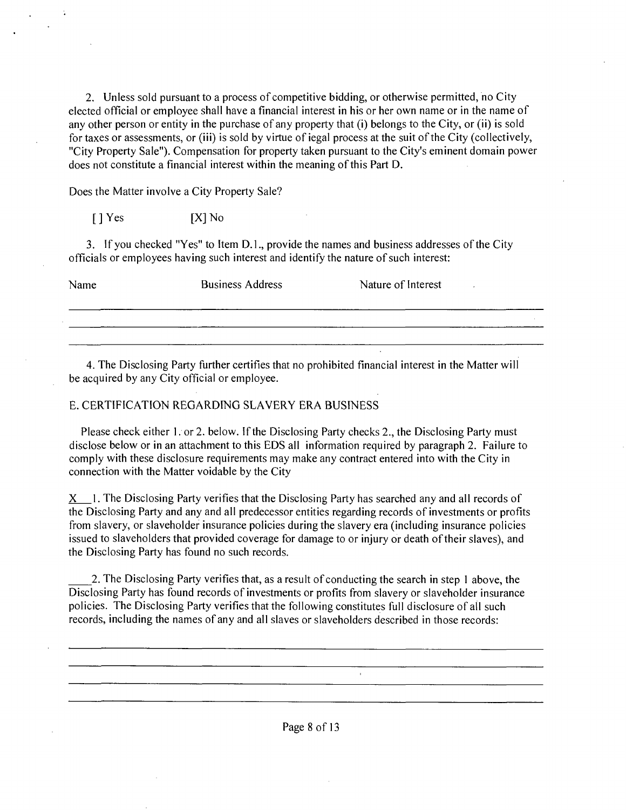2. Unless sold pursuant to a process of competitive bidding, or otherwise permitted, no City elected official or employee shall have a financial interest in his or her own name or in the name of any other person or entity in the purchase of any property that (i) belongs to the City, or (ii) is sold for taxes or assessments, or (iii) is sold by virtue of iegal process at the suit of the City (collectively, "City Property Sale"). Compensation for property taken pursuant to the City's eminent domain power does not constitute a financial interest within the meaning of this Part D.

Does the Matter involve a City Property Sale?

 $[ ]$  Yes  $[ X ]$  No

3. If you checked "Yes" to Item D. 1., provide the names and business addresses of the City officials or employees having such interest and identify the nature of such interest:

Name Business Address Nature of Interest

4. The Disclosing Party further certifies that no prohibited financial interest in the Matter will be acquired by any City official or employee.

## E. CERTIFICATION REGARDING SLAVERY ERA BUSINESS

Please check either 1, or 2, below. If the Disclosing Party checks 2, the Disclosing Party must disclose below or in an attachment to this EDS all information required by paragraph 2. Failure to comply with these disclosure requirements may make any contract entered into with the City in connection with the Matter voidable by the City

 $X_1$ . The Disclosing Party verifies that the Disclosing Party has searched any and all records of the Disclosing Party and any and all predecessor entities regarding records of investments or profits from slavery, or slaveholder insurance policies during the slavery era (including insurance policies issued to slaveholders that provided coverage for damage to or injury or death of their slaves), and the Disclosing Party has found no such records.

2. The Disclosing Party verifies that, as a result of conducting the search in step 1 above, the Disclosing Party has found records of investments or profits from slavery or slaveholder insurance policies. The Disclosing Party verifies that the following constitutes full disclosure of all such records, including the names of any and all slaves or slaveholders described in those records: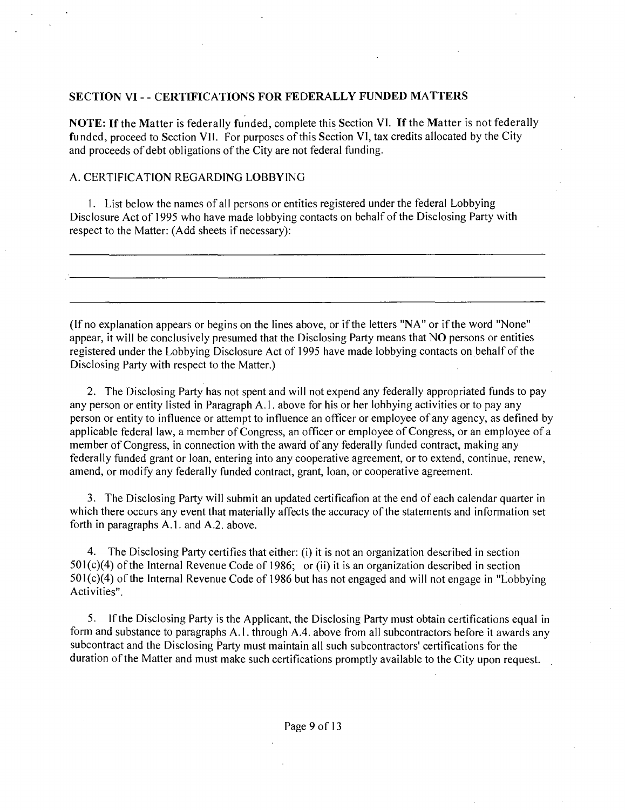## **SECTION VI - - CERTIFICATIONS FOR FEDERALLY FUNDED MATTERS**

NOTE: If the Matter is federally funded, complete this Section VI. If the Matter is not federally funded, proceed to Section VII. For purposes of this Section VI, tax credits allocated by the City and proceeds of debt obligations of the City are not federal funding.

## A. CERTIFICATION REGARDING LOBBYING

1. List below the names of all persons or entities registered under the federal Lobbying Disclosure Act of 1995 who have made lobbying contacts on behalf of the Disclosing Party with respect to the Matter: (Add sheets if necessary):

(If no explanation appears or begins on the lines above, or if the letters "NA" or if the word "None" appear, it will be conclusively presumed that the Disclosing Party means that NO persons or entities registered under the Lobbying Disclosure Act of 1995 have made lobbying contacts on behalf of the Disclosing Party with respect to the Matter.)

2. The Disclosing Party has not spent and will not expend any federally appropriated funds to pay any person or entity listed in Paragraph A.l . above for his or her lobbying activities or to pay any person or entity to influence or attempt to influence an officer or employee of any agency, as defined by applicable federal law, a member of Congress, an officer or employee of Congress, or an employee of a member of Congress, in connection with the award of any federally funded contract, making any federally funded grant or loan, entering into any cooperative agreement, or to extend, continue, renew, amend, or modify any federally funded contract, grant, loan, or cooperative agreement.

3. The Disclosing Party will submit an updated certificafion at the end of each calendar quarter in which there occurs any event that materially affects the accuracy of the statements and information set forth in paragraphs A.1. and A.2. above.

4. The Disclosing Party certifies that either: (i) it is not an organization described in section  $501(c)(4)$  of the Internal Revenue Code of 1986; or (ii) it is an organization described in section  $501(c)(4)$  of the Internal Revenue Code of 1986 but has not engaged and will not engage in "Lobbying" Activities".

5. Ifthe Disclosing Party is the Applicant, the Disclosing Party must obtain certifications equal in form and substance to paragraphs A.l . through A.4. above from all subcontractors before it awards any subcontract and the Disclosing Party must maintain all such subcontractors' certifications for the duration of the Matter and must make such certifications promptly available to the City upon request.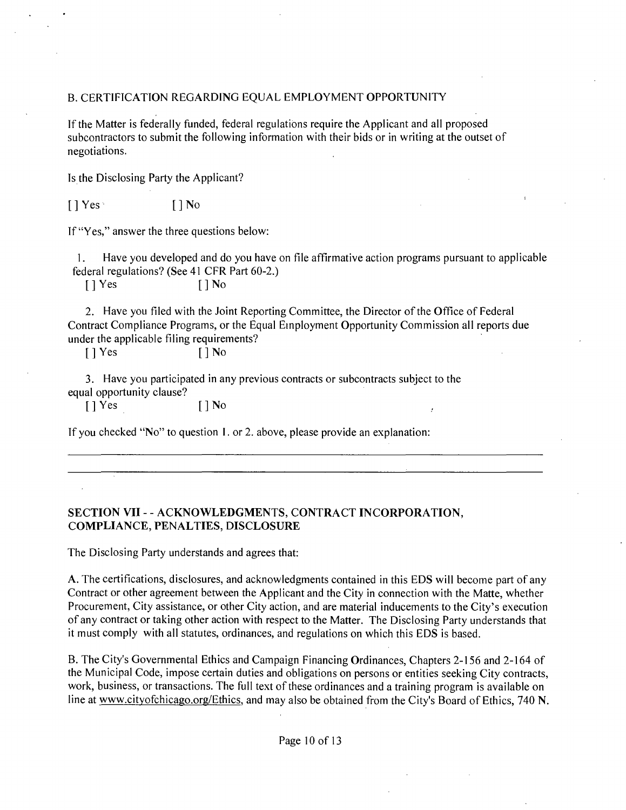#### B. CERTIFICATION REGARDING EQUAL EMPLOYMENT OPPORTUNITY

If the Matter is federally funded, federal regulations require the Applicant and all proposed subcontractors to submit the following information with their bids or in writing at the outset of negotiations.

Is the Disclosing Party the Applicant?

 $[$   $]$   $Y$ es  $[$   $]$   $N$ o

If "Yes," answer the three questions below:

1. Have you developed and do you have on file affirmative action programs pursuant to applicable federal regulations? (See 41 CFR Part 60-2.)

 $[ ]$  Yes  $[ ]$  No

2. Have you filed with the Joint Reporting Committee, the Director of the Office of Federal Contract Compliance Programs, or the Equal Einployment Opportunity Commission all reports due under the applicable filing requirements?

[ ] Yes [ ] No

3. Have you participated in any previous contracts or subcontracts subject to the equal opportunity clause?

 $[ ]$  Yes  $[ ]$  No

If you checked "No" to question I. or 2. above, please provide an explanation:

## **SECTION VII - - ACKNOWLEDGMENTS, CONTRACT INCORPORATION, COMPLIANCE, PENALTIES, DISCLOSURE**

The Disclosing Party understands and agrees that:

A. The certifications, disclosures, and acknowledgments contained in this EDS will become part of any Contract or other agreement between the Applicant and the City in connection with the Matte, whether Procurement, City assistance, or other City action, and are material inducements to the City's execution of any contract or taking other action with respect to the Matter. The Disclosing Party understands that it must comply with all statutes, ordinances, and regulations on which this EDS is based.

B. The City's Governmental Ethics and Campaign Financing Ordinances, Chapters 2-156 and 2-164 of the Municipal Code, impose certain duties and obligations on persons or entities seeking City contracts, work, business, or transactions. The full text of these ordinances and a training program is available on line at www.cityofchicago.org/Ethics, and may also be obtained from the City's Board of Ethics, 740 N.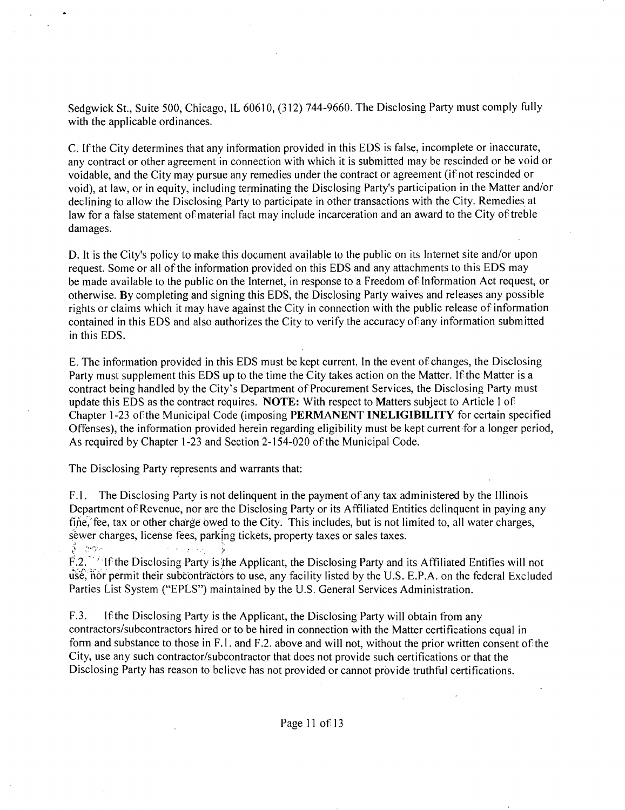Sedgwick St., Suite 500, Chicago, IL 60610, (312) 744-9660. The Disclosing Party must comply fully with the applicable ordinances.

C. If the City determines that any information provided in this EDS is false, incomplete or inaccurate, any contract or other agreement in connection with which it is submitted may be rescinded or be void or voidable, and the City may pursue any remedies under the contract or agreement (if not rescinded or void), at law, or in equity, including terminating the Disclosing Party's participation in the Matter and/or declining to allow the Disclosing Party lo participate in other transactions with the City. Remedies at law for a false statement of material fact may include incarceration and an award to the City of treble damages.

D. It is the City's policy to make this document available to the public on its Internet site and/or upon request. Some or all of the information provided on this EDS and any attachments to this EDS may be made available to the public on the Internet, in response to a Freedom of Information Act request, or otherwise. By completing and signing this EDS, the Disclosing Party waives and releases any possible rights or claims which it may have against the City in connection with the public release of information contained in this EDS and also authorizes the City to verify the accuracy of any information submitted in this EDS.

E. The information provided in this EDS must be kept current. In the event of changes, the Disclosing Party must supplement this EDS up to the time the City takes action on the Matter. If the Matter is a contract being handled by the City's Department of Procurement Services, the Disclosing Party must update this EDS as the contract requires. NOTE: With respect to Matters subject to Article I of Chapter 1-23 of the Municipal Code (imposing PERMANENT INELIGIBILITY for certain specified Offenses), the information provided herein regarding eligibility must be kept current for a longer period. As required by Chapter 1-23 and Section 2-154-020 of the Municipal Code.

The Disclosing Party represents and warrants that:

F. l. The Disclosing Party is not delinquent in the payment of any tax administered by the Illinois Department of Revenue, nor are the Disclosing Party or its Affiliated Entities delinquent in paying any fine, fee, tax or other charge owed to the City. This includes, but is not limited to, all water charges, sewer charges, license fees, parking tickets, property taxes or sales taxes.

F.2. ' Ifthe Disclosing Party isithe Applicant, the Disclosing Party and its Affiliated Entifies will not use, nor permit their subcontractors to use, any facility listed by the U.S. E.P.A. on the federal Excluded Parties List System ("EPLS") maintained by the U.S. General Services Administration.

F.3. Ifthe Disclosing Party is the Applicant, the Disclosing Party will obtain from any contractors/subcontractors hired or to be hired in connection with the Matter certifications equal in form and substance to those in F.l. and F.2. above and will not, without the prior written consent of the City, use any such contractor/subcontractor that does not provide such certifications or that the Disclosing Party has reason to believe has not provided or cannot provide truthful certifications.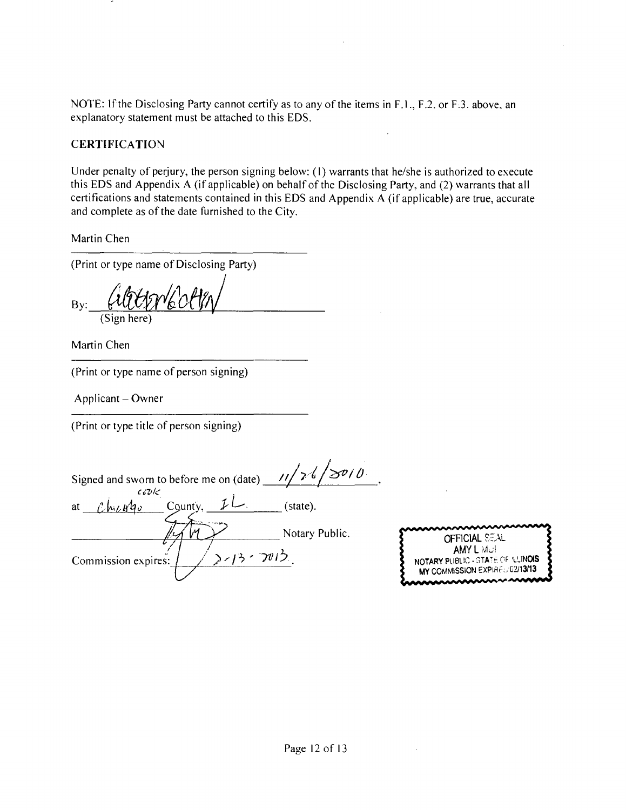NOTE: If the Disclosing Party cannot certify as to any of the items in F.1., F.2. or F.3. above, an explanatory statement must be attached lo this EDS.

## **CERTIFICATION**

Under penalty of perjury, the person signing below: (1) warrants that he/she is authorized to execute this EDS and Appendix A (if applicable) on behalf of the Disclosing Party, and (2) warrants that all certifications and statements contained in this EDS and Appendix A (if applicable) are true, accurate and complete as of the date furnished to the City.

Martin Chen

(Print or type name of Disclosing Party)

By:\_ (Sign here)

Martin Chen

(Print or type name of person signing)

 $Application - Owner$ 

(Print or type title of person signing)

 $z_{\nu}$ Signed and sworn to before me on (date)  $\frac{11}{26}$ at  $\mathcal{C}$   $\mathcal{N}$   $q_0$  County,  $\mathcal{L}$   $\mathcal{L}$  (state). Notary Public. >//3・プリン Commission expires:

| OFFICIAL SEAL                          |
|----------------------------------------|
| AMY L Mul                              |
| 2<br>NOTARY PUBLIC - STATE OF 'LLINOIS |
| MY COMMISSION EXPIRED 02/13/13         |
| ๛๛๛๛                                   |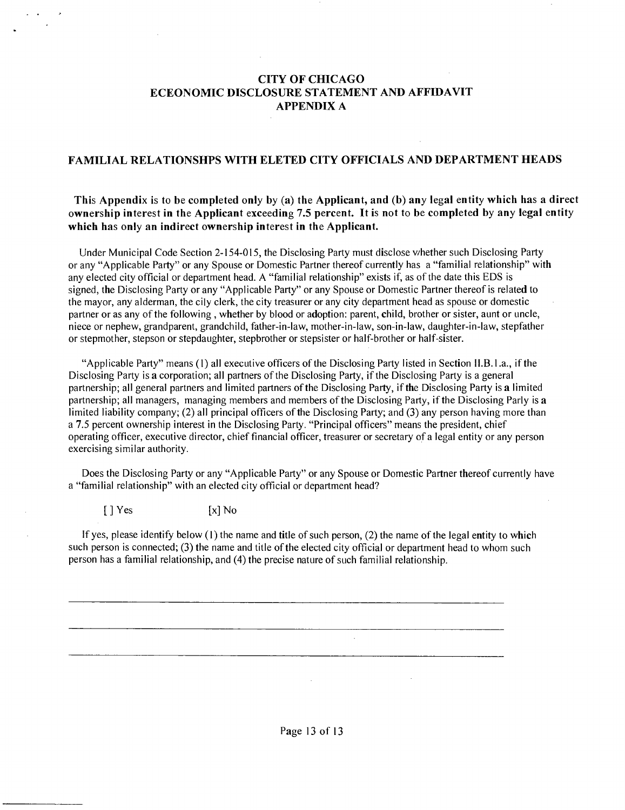#### **CITY OF CHICAGO ECEONOMIC DISCLOSURE STATEMENT AND AFFIDAVIT APPENDIX A**

#### **FAMILIAL RELATIONSHPS WITH ELETED CITY OFFICIALS AND DEPARTMENT HEADS**

#### **This Appendix is to be completed only by (a) the Applicant, and (b) any legal entity which has a direct ownership interest in the Applicant exceeding 7.5 percent. It is not to be completed by any legal entity which has only an indirect ownership interest in the Applicant.**

Under Municipal Code Section 2-154-015, the Disclosing Party must disclose v/hether such Disclosing Party or any "Applicable Party" or any Spouse or Domestic Partner thereof currently has a "familial relationship" with any elected city official or department head. A "familial relationship" exists if, as of the date this EDS is signed, the Disclosing Party or any "Applicable Party" or any Spouse or Domestic Partner thereof is related to the mayor, any alderman, the cily clerk, the city treasurer or any city department head as spouse or domestic partner or as any of the following, whether by blood or adoption: parent, child, brother or sister, aunt or uncle, niece or nephew, grandparent, grandchild, father-in-law, mother-in-law, son-in-law, daughter-in-law, stepfather or stepmother, stepson or stepdaughter, stepbrother or stepsister or half-brother or half-sister.

"Applicable Party" means (1) all executive officers ofthe Disclosing Party listed in Section II.B.l .a., if the Disclosing Party is a corporation; all partners of the Disclosing Party, ifthe Disclosing Party is a general partnership; all general partners and limited partners of the Disclosing Party, if the Disclosing Party is a limited partnership; all managers, managing members and members of the Disclosing Party, if the Disclosing Parly is a limited liability company; (2) all principal officers of the Disclosing Party; and (3) any person having more than a 7.5 percent ownership interest in the Disclosing Party. "Principal officers" means the president, chief operating officer, executive director, chief financial officer, treasurer or secretary of a legal entity or any person exercising similar authority.

Does the Disclosing Party or any "Applicable Party" or any Spouse or Domestic Partner thereof currently have a "familial relationship" with an elected city official or department head?

 $[ ] Yes$   $[x] No$ 

If yes, please identify below (1) the name and title of such person, (2) the name of the legal entity to which such person is connected; (3) the name and title of the elected city official or department head to whom such person has a familial relationship, and (4) the precise nature of such familial relationship.